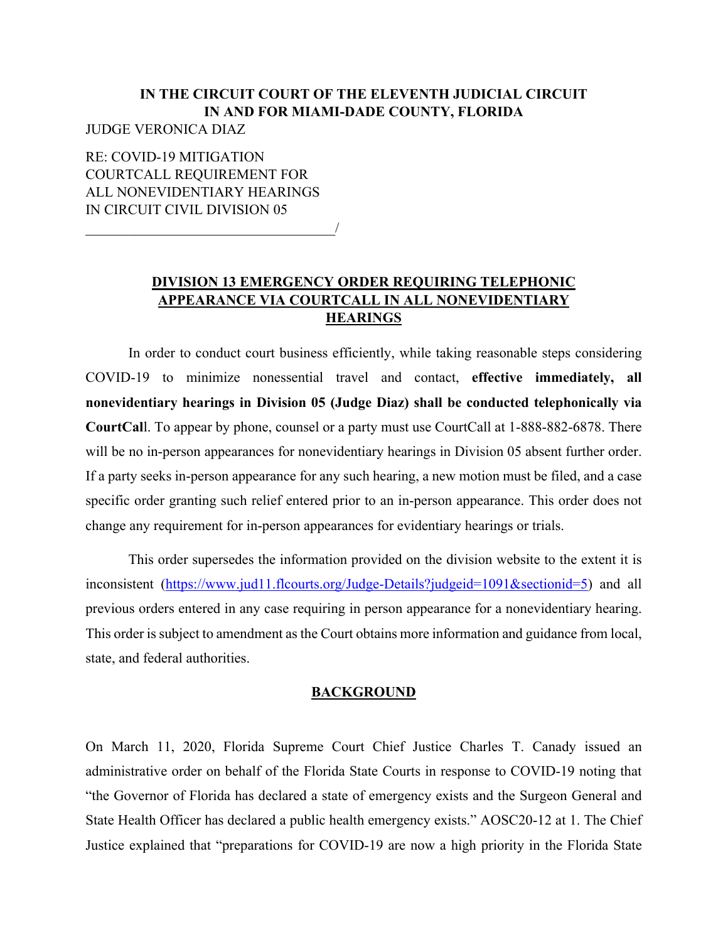## **IN THE CIRCUIT COURT OF THE ELEVENTH JUDICIAL CIRCUIT IN AND FOR MIAMI-DADE COUNTY, FLORIDA**  JUDGE VERONICA DIAZ

RE: COVID-19 MITIGATION COURTCALL REQUIREMENT FOR ALL NONEVIDENTIARY HEARINGS IN CIRCUIT CIVIL DIVISION 05

 $\overline{\phantom{a}}$ 

## **DIVISION 13 EMERGENCY ORDER REQUIRING TELEPHONIC APPEARANCE VIA COURTCALL IN ALL NONEVIDENTIARY HEARINGS**

In order to conduct court business efficiently, while taking reasonable steps considering COVID-19 to minimize nonessential travel and contact, **effective immediately, all nonevidentiary hearings in Division 05 (Judge Diaz) shall be conducted telephonically via CourtCal**l. To appear by phone, counsel or a party must use CourtCall at 1-888-882-6878. There will be no in-person appearances for nonevidentiary hearings in Division 05 absent further order. If a party seeks in-person appearance for any such hearing, a new motion must be filed, and a case specific order granting such relief entered prior to an in-person appearance. This order does not change any requirement for in-person appearances for evidentiary hearings or trials.

This order supersedes the information provided on the division website to the extent it is inconsistent (https://www.jud11.flcourts.org/Judge-Details?judgeid=1091&sectionid=5) and all previous orders entered in any case requiring in person appearance for a nonevidentiary hearing. This order is subject to amendment as the Court obtains more information and guidance from local, state, and federal authorities.

## **BACKGROUND**

On March 11, 2020, Florida Supreme Court Chief Justice Charles T. Canady issued an administrative order on behalf of the Florida State Courts in response to COVID-19 noting that "the Governor of Florida has declared a state of emergency exists and the Surgeon General and State Health Officer has declared a public health emergency exists." AOSC20-12 at 1. The Chief Justice explained that "preparations for COVID-19 are now a high priority in the Florida State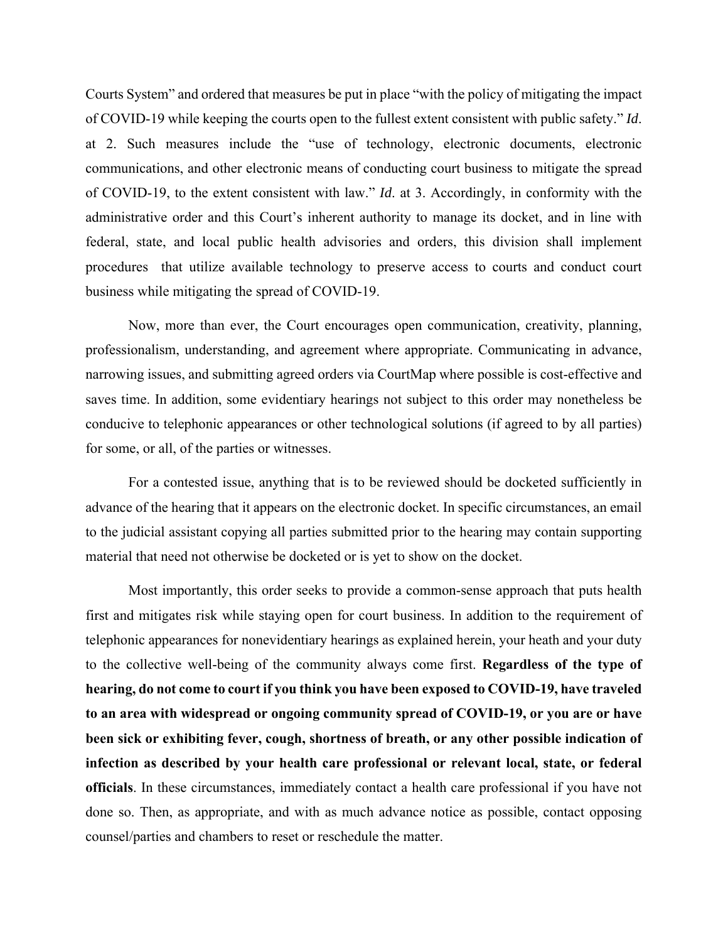Courts System" and ordered that measures be put in place "with the policy of mitigating the impact of COVID-19 while keeping the courts open to the fullest extent consistent with public safety." *Id*. at 2. Such measures include the "use of technology, electronic documents, electronic communications, and other electronic means of conducting court business to mitigate the spread of COVID-19, to the extent consistent with law." *Id*. at 3. Accordingly, in conformity with the administrative order and this Court's inherent authority to manage its docket, and in line with federal, state, and local public health advisories and orders, this division shall implement procedures that utilize available technology to preserve access to courts and conduct court business while mitigating the spread of COVID-19.

Now, more than ever, the Court encourages open communication, creativity, planning, professionalism, understanding, and agreement where appropriate. Communicating in advance, narrowing issues, and submitting agreed orders via CourtMap where possible is cost-effective and saves time. In addition, some evidentiary hearings not subject to this order may nonetheless be conducive to telephonic appearances or other technological solutions (if agreed to by all parties) for some, or all, of the parties or witnesses.

For a contested issue, anything that is to be reviewed should be docketed sufficiently in advance of the hearing that it appears on the electronic docket. In specific circumstances, an email to the judicial assistant copying all parties submitted prior to the hearing may contain supporting material that need not otherwise be docketed or is yet to show on the docket.

Most importantly, this order seeks to provide a common-sense approach that puts health first and mitigates risk while staying open for court business. In addition to the requirement of telephonic appearances for nonevidentiary hearings as explained herein, your heath and your duty to the collective well-being of the community always come first. **Regardless of the type of hearing, do not come to court if you think you have been exposed to COVID-19, have traveled to an area with widespread or ongoing community spread of COVID-19, or you are or have been sick or exhibiting fever, cough, shortness of breath, or any other possible indication of infection as described by your health care professional or relevant local, state, or federal officials**. In these circumstances, immediately contact a health care professional if you have not done so. Then, as appropriate, and with as much advance notice as possible, contact opposing counsel/parties and chambers to reset or reschedule the matter.